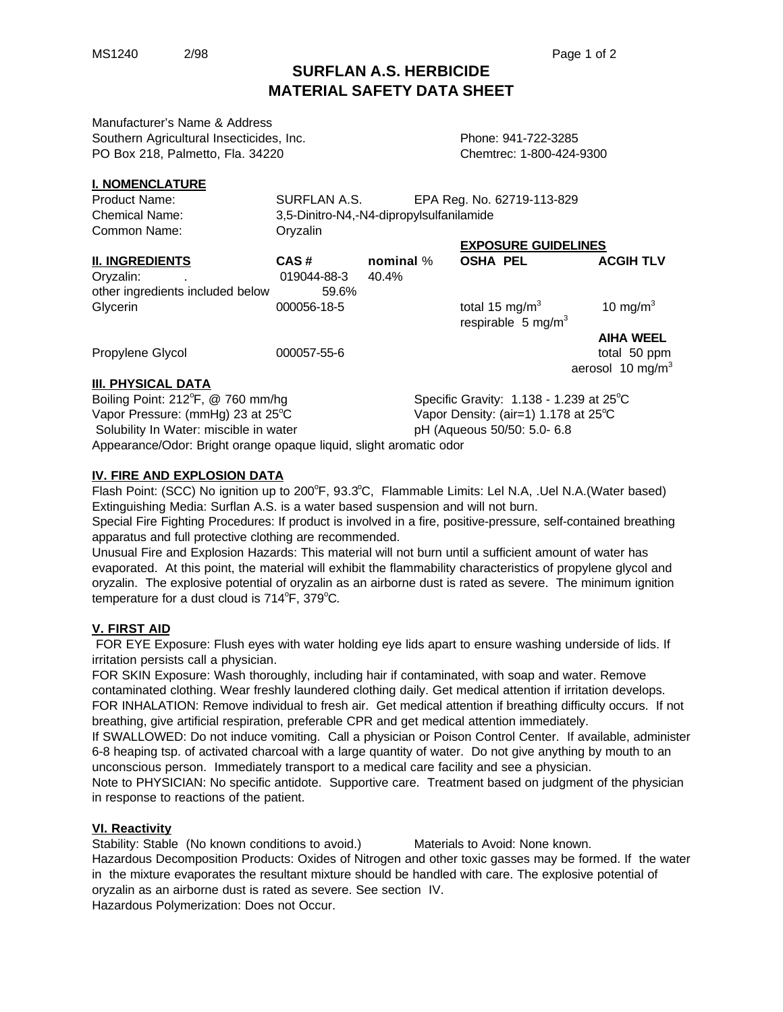# **SURFLAN A.S. HERBICIDE MATERIAL SAFETY DATA SHEET**

Manufacturer's Name & Address Southern Agricultural Insecticides, Inc. The Contract Report of Phone: 941-722-3285 PO Box 218, Palmetto, Fla. 34220 Chemtrec: 1-800-424-9300

## **I. NOMENCLATURE**

| Product Name:                    | SURFLAN A.S.                             |             | EPA Reg. No. 62719-113-829                                  |                              |
|----------------------------------|------------------------------------------|-------------|-------------------------------------------------------------|------------------------------|
| <b>Chemical Name:</b>            | 3,5-Dinitro-N4,-N4-dipropylsulfanilamide |             |                                                             |                              |
| Common Name:                     | Oryzalin                                 |             |                                                             |                              |
|                                  | <b>EXPOSURE GUIDELINES</b>               |             |                                                             |                              |
| <b>II. INGREDIENTS</b>           | CAS#                                     | nominal $%$ | <b>OSHA PEL</b>                                             | <b>ACGIH TLV</b>             |
| Oryzalin:                        | 019044-88-3                              | 40.4%       |                                                             |                              |
| other ingredients included below | 59.6%                                    |             |                                                             |                              |
| Glycerin                         | 000056-18-5                              |             | total 15 mg/m <sup>3</sup><br>respirable $5 \text{ mg/m}^3$ | 10 mg/m $3$                  |
|                                  |                                          |             |                                                             | <b>AIHA WEEL</b>             |
| Propylene Glycol                 | 000057-55-6                              |             |                                                             | total 50 ppm                 |
|                                  |                                          |             |                                                             | aerosol 10 mg/m <sup>3</sup> |
| <b>III. PHYSICAL DATA</b>        |                                          |             |                                                             |                              |

Boiling Point: 212°F, @ 760 mm/hg Specific Gravity:  $1.138 - 1.239$  at 25 $\degree$ C Vapor Pressure: (mmHg) 23 at 25<sup>o</sup>C Vapor Density: (air=1) 1.178 at 25<sup>o</sup>C Solubility In Water: miscible in water pH (Aqueous 50/50: 5.0- 6.8 Appearance/Odor: Bright orange opaque liquid, slight aromatic odor

#### **IV. FIRE AND EXPLOSION DATA**

Flash Point: (SCC) No ignition up to 200°F, 93.3°C, Flammable Limits: Lel N.A, .Uel N.A. (Water based) Extinguishing Media: Surflan A.S. is a water based suspension and will not burn.

Special Fire Fighting Procedures: If product is involved in a fire, positive-pressure, self-contained breathing apparatus and full protective clothing are recommended.

Unusual Fire and Explosion Hazards: This material will not burn until a sufficient amount of water has evaporated. At this point, the material will exhibit the flammability characteristics of propylene glycol and oryzalin. The explosive potential of oryzalin as an airborne dust is rated as severe. The minimum ignition temperature for a dust cloud is  $714^{\circ}$ F,  $379^{\circ}$ C.

## **V. FIRST AID**

 FOR EYE Exposure: Flush eyes with water holding eye lids apart to ensure washing underside of lids. If irritation persists call a physician.

FOR SKIN Exposure: Wash thoroughly, including hair if contaminated, with soap and water. Remove contaminated clothing. Wear freshly laundered clothing daily. Get medical attention if irritation develops. FOR INHALATION: Remove individual to fresh air. Get medical attention if breathing difficulty occurs. If not breathing, give artificial respiration, preferable CPR and get medical attention immediately.

If SWALLOWED: Do not induce vomiting. Call a physician or Poison Control Center. If available, administer 6-8 heaping tsp. of activated charcoal with a large quantity of water. Do not give anything by mouth to an unconscious person. Immediately transport to a medical care facility and see a physician.

Note to PHYSICIAN: No specific antidote. Supportive care. Treatment based on judgment of the physician in response to reactions of the patient.

## **VI. Reactivity**

Stability: Stable (No known conditions to avoid.) Materials to Avoid: None known. Hazardous Decomposition Products: Oxides of Nitrogen and other toxic gasses may be formed. If the water in the mixture evaporates the resultant mixture should be handled with care. The explosive potential of oryzalin as an airborne dust is rated as severe. See section IV. Hazardous Polymerization: Does not Occur.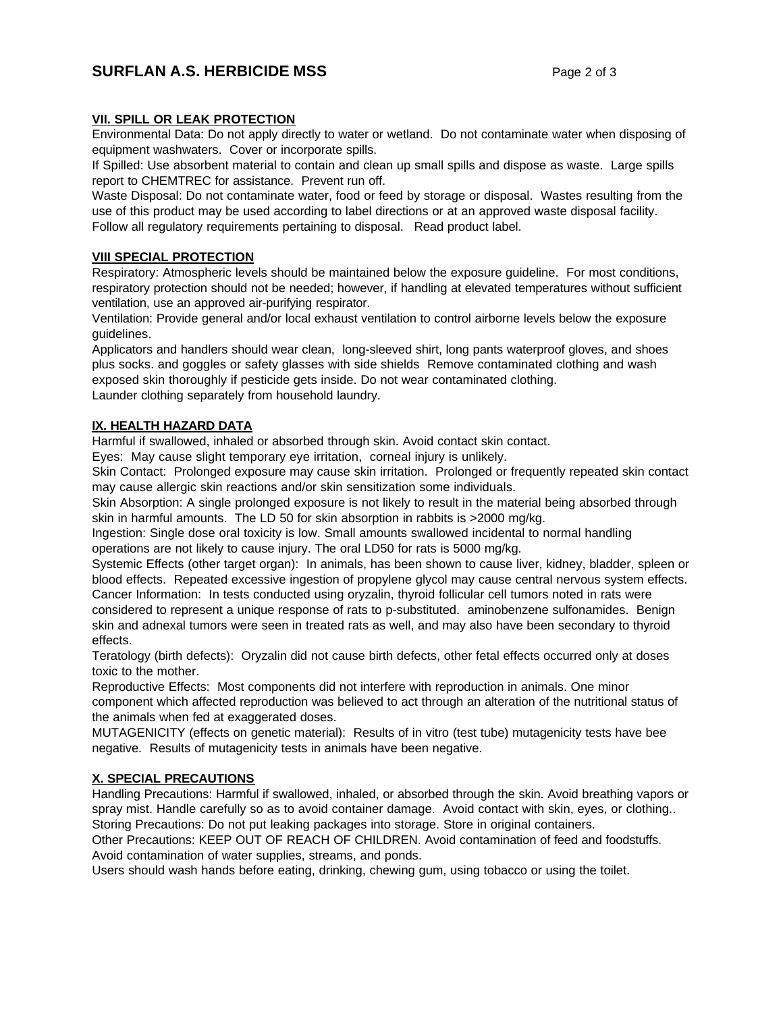## **SURFLAN A.S. HERBICIDE MSS** Page 2 of 3

## **VII. SPILL OR LEAK PROTECTION**

Environmental Data: Do not apply directly to water or wetland. Do not contaminate water when disposing of equipment washwaters. Cover or incorporate spills.

If Spilled: Use absorbent material to contain and clean up small spills and dispose as waste. Large spills report to CHEMTREC for assistance. Prevent run off.

Waste Disposal: Do not contaminate water, food or feed by storage or disposal. Wastes resulting from the use of this product may be used according to label directions or at an approved waste disposal facility. Follow all regulatory requirements pertaining to disposal. Read product label.

## **VIII SPECIAL PROTECTION**

Respiratory: Atmospheric levels should be maintained below the exposure guideline. For most conditions, respiratory protection should not be needed; however, if handling at elevated temperatures without sufficient ventilation, use an approved air-purifying respirator.

Ventilation: Provide general and/or local exhaust ventilation to control airborne levels below the exposure guidelines.

Applicators and handlers should wear clean, long-sleeved shirt, long pants waterproof gloves, and shoes plus socks. and goggles or safety glasses with side shields Remove contaminated clothing and wash exposed skin thoroughly if pesticide gets inside. Do not wear contaminated clothing. Launder clothing separately from household laundry.

## **IX. HEALTH HAZARD DATA**

Harmful if swallowed, inhaled or absorbed through skin. Avoid contact skin contact.

Eyes: May cause slight temporary eye irritation, corneal injury is unlikely.

Skin Contact: Prolonged exposure may cause skin irritation. Prolonged or frequently repeated skin contact may cause allergic skin reactions and/or skin sensitization some individuals.

Skin Absorption: A single prolonged exposure is not likely to result in the material being absorbed through skin in harmful amounts. The LD 50 for skin absorption in rabbits is >2000 mg/kg.

Ingestion: Single dose oral toxicity is low. Small amounts swallowed incidental to normal handling operations are not likely to cause injury. The oral LD50 for rats is 5000 mg/kg.

Systemic Effects (other target organ): In animals, has been shown to cause liver, kidney, bladder, spleen or blood effects. Repeated excessive ingestion of propylene glycol may cause central nervous system effects. Cancer Information: In tests conducted using oryzalin, thyroid follicular cell tumors noted in rats were considered to represent a unique response of rats to p-substituted. aminobenzene sulfonamides. Benign skin and adnexal tumors were seen in treated rats as well, and may also have been secondary to thyroid effects.

Teratology (birth defects): Oryzalin did not cause birth defects, other fetal effects occurred only at doses toxic to the mother.

Reproductive Effects: Most components did not interfere with reproduction in animals. One minor component which affected reproduction was believed to act through an alteration of the nutritional status of the animals when fed at exaggerated doses.

MUTAGENICITY (effects on genetic material): Results of in vitro (test tube) mutagenicity tests have bee negative. Results of mutagenicity tests in animals have been negative.

## **X. SPECIAL PRECAUTIONS**

Handling Precautions: Harmful if swallowed, inhaled, or absorbed through the skin. Avoid breathing vapors or spray mist. Handle carefully so as to avoid container damage. Avoid contact with skin, eyes, or clothing.. Storing Precautions: Do not put leaking packages into storage. Store in original containers.

Other Precautions: KEEP OUT OF REACH OF CHILDREN. Avoid contamination of feed and foodstuffs. Avoid contamination of water supplies, streams, and ponds.

Users should wash hands before eating, drinking, chewing gum, using tobacco or using the toilet.